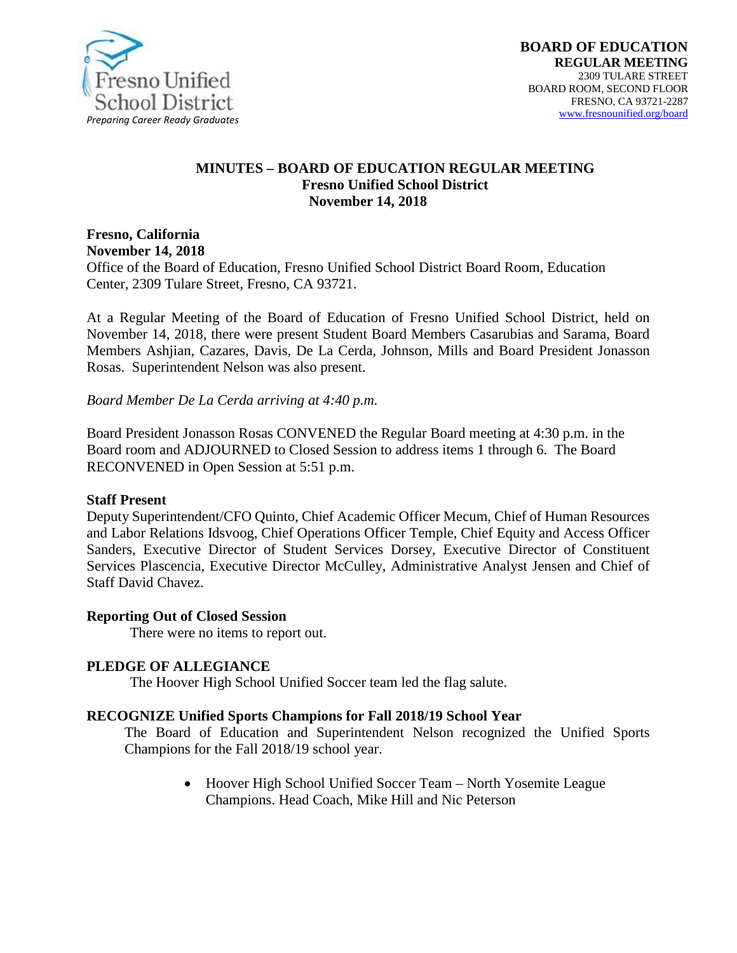

#### **MINUTES – BOARD OF EDUCATION REGULAR MEETING Fresno Unified School District November 14, 2018**

# **Fresno, California November 14, 2018**

Office of the Board of Education, Fresno Unified School District Board Room, Education Center, 2309 Tulare Street, Fresno, CA 93721.

At a Regular Meeting of the Board of Education of Fresno Unified School District, held on November 14, 2018, there were present Student Board Members Casarubias and Sarama, Board Members Ashjian, Cazares, Davis, De La Cerda, Johnson, Mills and Board President Jonasson Rosas. Superintendent Nelson was also present.

*Board Member De La Cerda arriving at 4:40 p.m.*

Board President Jonasson Rosas CONVENED the Regular Board meeting at 4:30 p.m. in the Board room and ADJOURNED to Closed Session to address items 1 through 6. The Board RECONVENED in Open Session at 5:51 p.m.

#### **Staff Present**

Deputy Superintendent/CFO Quinto, Chief Academic Officer Mecum, Chief of Human Resources and Labor Relations Idsvoog, Chief Operations Officer Temple*,* Chief Equity and Access Officer Sanders, Executive Director of Student Services Dorsey, Executive Director of Constituent Services Plascencia, Executive Director McCulley, Administrative Analyst Jensen and Chief of Staff David Chavez.

#### **Reporting Out of Closed Session**

There were no items to report out.

### **PLEDGE OF ALLEGIANCE**

The Hoover High School Unified Soccer team led the flag salute.

#### **RECOGNIZE Unified Sports Champions for Fall 2018/19 School Year**

The Board of Education and Superintendent Nelson recognized the Unified Sports Champions for the Fall 2018/19 school year.

> • Hoover High School Unified Soccer Team – North Yosemite League Champions. Head Coach, Mike Hill and Nic Peterson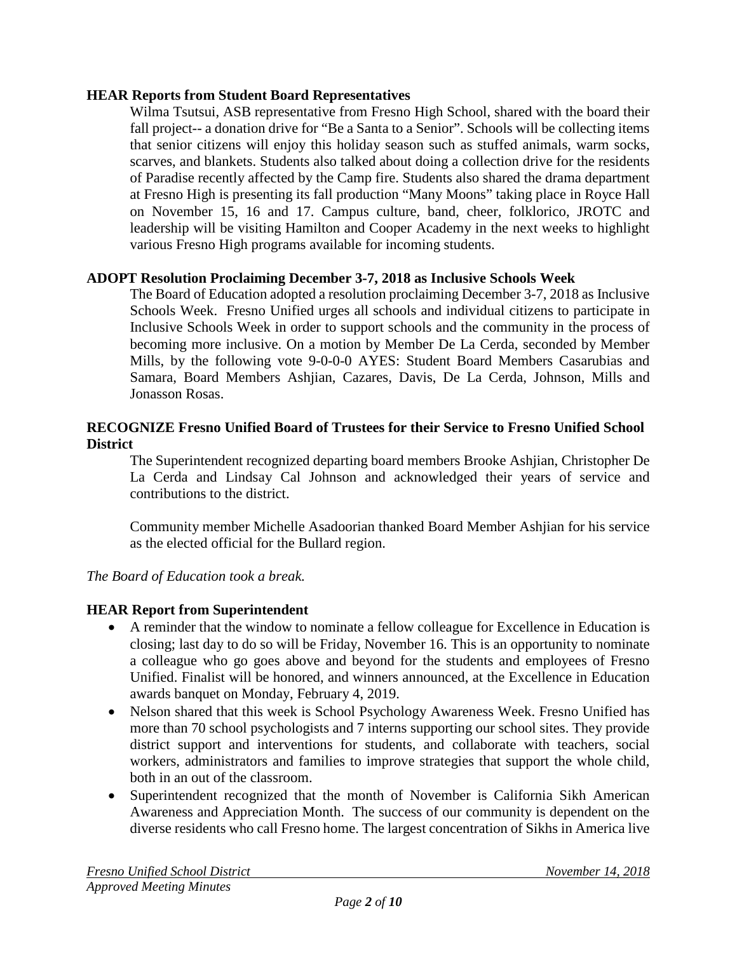### **HEAR Reports from Student Board Representatives**

Wilma Tsutsui, ASB representative from Fresno High School, shared with the board their fall project-- a donation drive for "Be a Santa to a Senior". Schools will be collecting items that senior citizens will enjoy this holiday season such as stuffed animals, warm socks, scarves, and blankets. Students also talked about doing a collection drive for the residents of Paradise recently affected by the Camp fire. Students also shared the drama department at Fresno High is presenting its fall production "Many Moons" taking place in Royce Hall on November 15, 16 and 17. Campus culture, band, cheer, folklorico, JROTC and leadership will be visiting Hamilton and Cooper Academy in the next weeks to highlight various Fresno High programs available for incoming students.

# **ADOPT Resolution Proclaiming December 3-7, 2018 as Inclusive Schools Week**

The Board of Education adopted a resolution proclaiming December 3-7, 2018 as Inclusive Schools Week. Fresno Unified urges all schools and individual citizens to participate in Inclusive Schools Week in order to support schools and the community in the process of becoming more inclusive. On a motion by Member De La Cerda, seconded by Member Mills, by the following vote 9-0-0-0 AYES: Student Board Members Casarubias and Samara, Board Members Ashjian, Cazares, Davis, De La Cerda, Johnson, Mills and Jonasson Rosas.

# **RECOGNIZE Fresno Unified Board of Trustees for their Service to Fresno Unified School District**

The Superintendent recognized departing board members Brooke Ashjian, Christopher De La Cerda and Lindsay Cal Johnson and acknowledged their years of service and contributions to the district.

Community member Michelle Asadoorian thanked Board Member Ashjian for his service as the elected official for the Bullard region.

# *The Board of Education took a break.*

# **HEAR Report from Superintendent**

- A reminder that the window to nominate a fellow colleague for Excellence in Education is closing; last day to do so will be Friday, November 16. This is an opportunity to nominate a colleague who go goes above and beyond for the students and employees of Fresno Unified. Finalist will be honored, and winners announced, at the Excellence in Education awards banquet on Monday, February 4, 2019.
- Nelson shared that this week is School Psychology Awareness Week. Fresno Unified has more than 70 school psychologists and 7 interns supporting our school sites. They provide district support and interventions for students, and collaborate with teachers, social workers, administrators and families to improve strategies that support the whole child, both in an out of the classroom.
- Superintendent recognized that the month of November is California Sikh American Awareness and Appreciation Month. The success of our community is dependent on the diverse residents who call Fresno home. The largest concentration of Sikhs in America live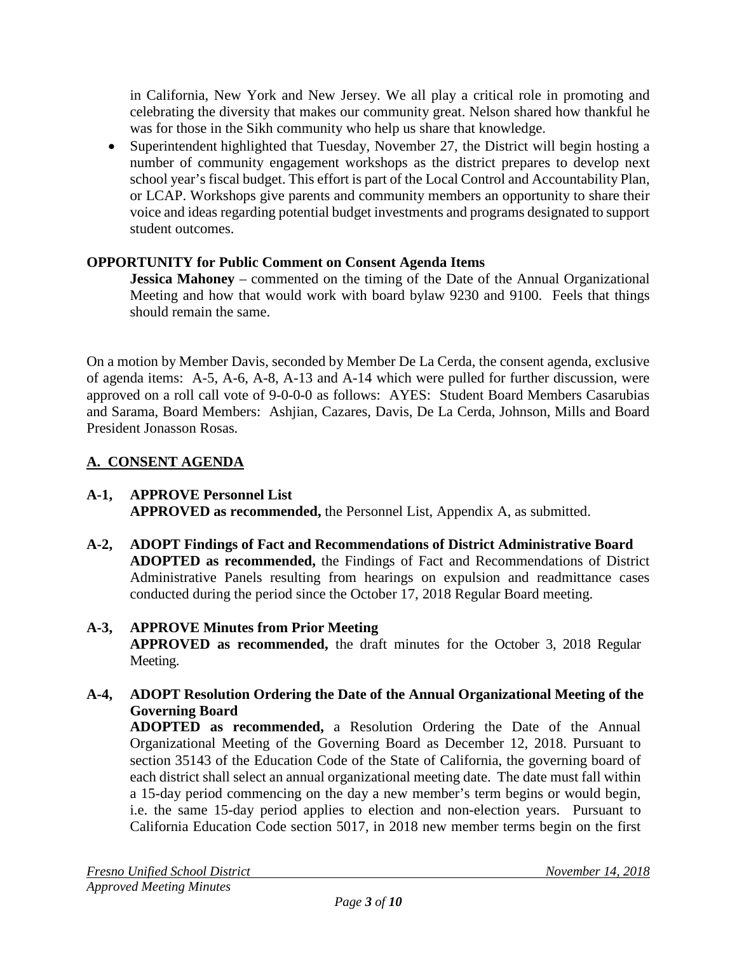in California, New York and New Jersey. We all play a critical role in promoting and celebrating the diversity that makes our community great. Nelson shared how thankful he was for those in the Sikh community who help us share that knowledge.

• Superintendent highlighted that Tuesday, November 27, the District will begin hosting a number of community engagement workshops as the district prepares to develop next school year's fiscal budget. This effort is part of the Local Control and Accountability Plan, or LCAP. Workshops give parents and community members an opportunity to share their voice and ideas regarding potential budget investments and programs designated to support student outcomes.

# **OPPORTUNITY for Public Comment on Consent Agenda Items**

**Jessica Mahoney** – commented on the timing of the Date of the Annual Organizational Meeting and how that would work with board bylaw 9230 and 9100. Feels that things should remain the same.

On a motion by Member Davis, seconded by Member De La Cerda, the consent agenda, exclusive of agenda items: A-5, A-6, A-8, A-13 and A-14 which were pulled for further discussion, were approved on a roll call vote of 9-0-0-0 as follows: AYES: Student Board Members Casarubias and Sarama, Board Members: Ashjian, Cazares, Davis, De La Cerda, Johnson, Mills and Board President Jonasson Rosas.

# **A. CONSENT AGENDA**

#### **A-1, APPROVE Personnel List APPROVED as recommended,** the Personnel List, Appendix A, as submitted.

**A-2, ADOPT Findings of Fact and Recommendations of District Administrative Board ADOPTED as recommended,** the Findings of Fact and Recommendations of District Administrative Panels resulting from hearings on expulsion and readmittance cases conducted during the period since the October 17, 2018 Regular Board meeting.

#### **A-3, APPROVE Minutes from Prior Meeting APPROVED as recommended,** the draft minutes for the October 3, 2018 Regular Meeting.

**A-4, ADOPT Resolution Ordering the Date of the Annual Organizational Meeting of the Governing Board ADOPTED as recommended,** a Resolution Ordering the Date of the Annual Organizational Meeting of the Governing Board as December 12, 2018. Pursuant to section 35143 of the Education Code of the State of California, the governing board of each district shall select an annual organizational meeting date. The date must fall within a 15-day period commencing on the day a new member's term begins or would begin, i.e. the same 15-day period applies to election and non-election years. Pursuant to California Education Code section 5017, in 2018 new member terms begin on the first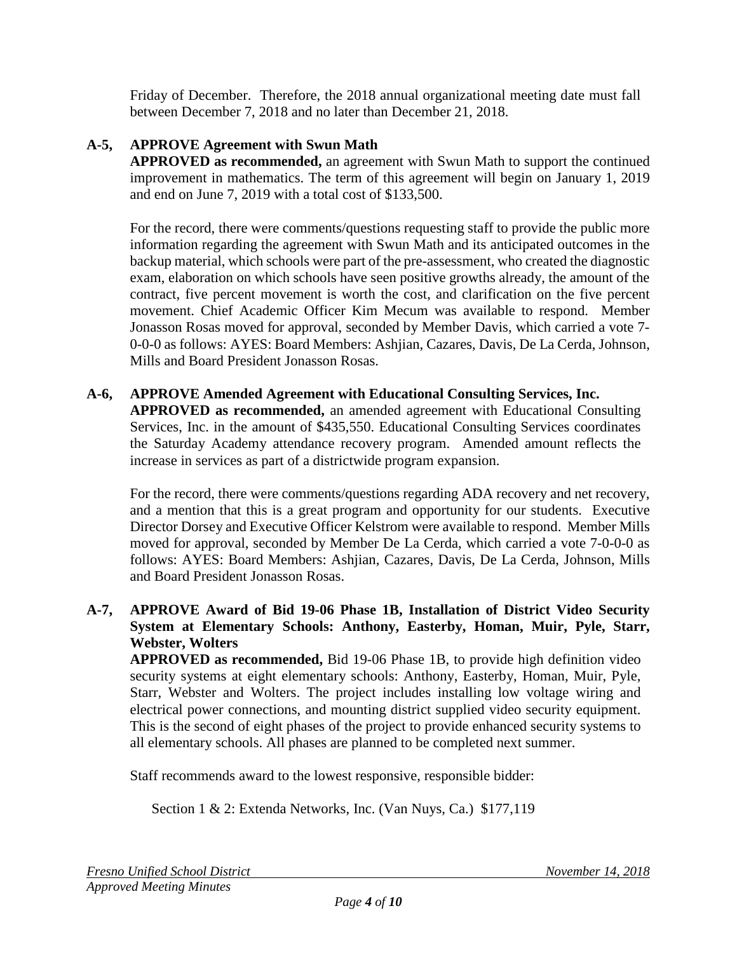Friday of December. Therefore, the 2018 annual organizational meeting date must fall between December 7, 2018 and no later than December 21, 2018.

# **A-5, APPROVE Agreement with Swun Math**

**APPROVED as recommended,** an agreement with Swun Math to support the continued improvement in mathematics. The term of this agreement will begin on January 1, 2019 and end on June 7, 2019 with a total cost of \$133,500.

For the record, there were comments/questions requesting staff to provide the public more information regarding the agreement with Swun Math and its anticipated outcomes in the backup material, which schools were part of the pre-assessment, who created the diagnostic exam, elaboration on which schools have seen positive growths already, the amount of the contract, five percent movement is worth the cost, and clarification on the five percent movement. Chief Academic Officer Kim Mecum was available to respond. Member Jonasson Rosas moved for approval, seconded by Member Davis, which carried a vote 7- 0-0-0 as follows: AYES: Board Members: Ashjian, Cazares, Davis, De La Cerda, Johnson, Mills and Board President Jonasson Rosas.

#### **A-6, APPROVE Amended Agreement with Educational Consulting Services, Inc. APPROVED as recommended,** an amended agreement with Educational Consulting Services, Inc. in the amount of \$435,550. Educational Consulting Services coordinates the Saturday Academy attendance recovery program. Amended amount reflects the increase in services as part of a districtwide program expansion.

For the record, there were comments/questions regarding ADA recovery and net recovery, and a mention that this is a great program and opportunity for our students. Executive Director Dorsey and Executive Officer Kelstrom were available to respond. Member Mills moved for approval, seconded by Member De La Cerda, which carried a vote 7-0-0-0 as follows: AYES: Board Members: Ashjian, Cazares, Davis, De La Cerda, Johnson, Mills and Board President Jonasson Rosas.

# **A-7, APPROVE Award of Bid 19-06 Phase 1B, Installation of District Video Security System at Elementary Schools: Anthony, Easterby, Homan, Muir, Pyle, Starr, Webster, Wolters**

**APPROVED as recommended,** Bid 19-06 Phase 1B, to provide high definition video security systems at eight elementary schools: Anthony, Easterby, Homan, Muir, Pyle, Starr, Webster and Wolters. The project includes installing low voltage wiring and electrical power connections, and mounting district supplied video security equipment. This is the second of eight phases of the project to provide enhanced security systems to all elementary schools. All phases are planned to be completed next summer.

Staff recommends award to the lowest responsive, responsible bidder:

Section 1 & 2: Extenda Networks, Inc. (Van Nuys, Ca.) \$177,119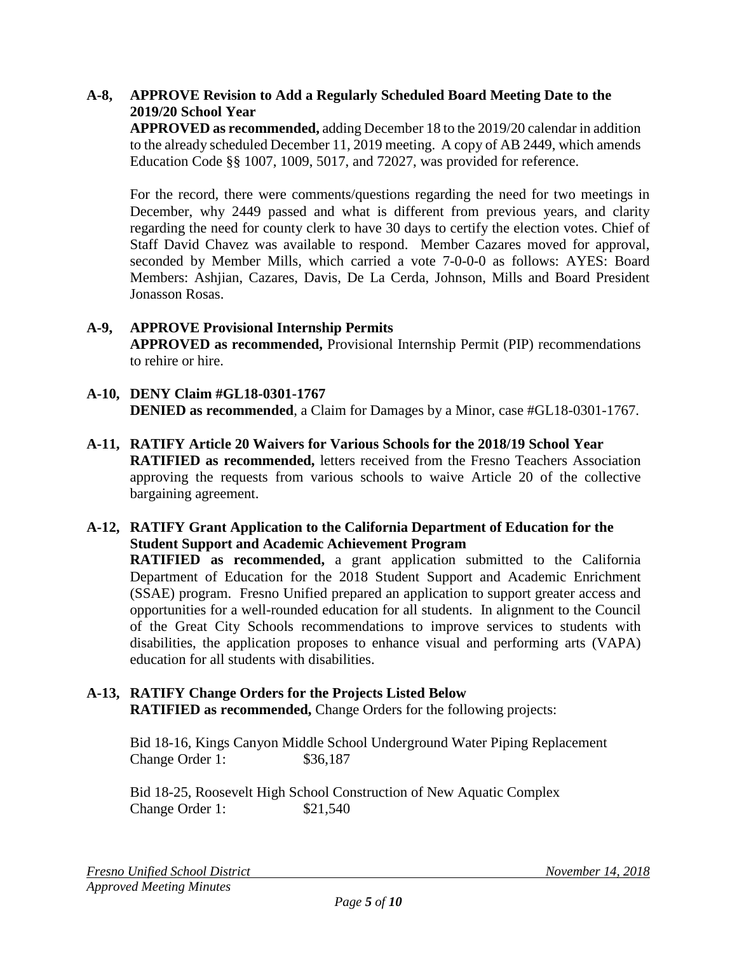# **A-8, APPROVE Revision to Add a Regularly Scheduled Board Meeting Date to the 2019/20 School Year**

**APPROVED as recommended,** adding December 18 to the 2019/20 calendar in addition to the already scheduled December 11, 2019 meeting. A copy of AB 2449, which amends Education Code §§ 1007, 1009, 5017, and 72027, was provided for reference.

For the record, there were comments/questions regarding the need for two meetings in December, why 2449 passed and what is different from previous years, and clarity regarding the need for county clerk to have 30 days to certify the election votes. Chief of Staff David Chavez was available to respond. Member Cazares moved for approval, seconded by Member Mills, which carried a vote 7-0-0-0 as follows: AYES: Board Members: Ashjian, Cazares, Davis, De La Cerda, Johnson, Mills and Board President Jonasson Rosas.

#### **A-9, APPROVE Provisional Internship Permits APPROVED as recommended,** Provisional Internship Permit (PIP) recommendations to rehire or hire.

- **A-10, DENY Claim #GL18-0301-1767 DENIED as recommended**, a Claim for Damages by a Minor, case #GL18-0301-1767.
- **A-11, RATIFY Article 20 Waivers for Various Schools for the 2018/19 School Year RATIFIED as recommended,** letters received from the Fresno Teachers Association approving the requests from various schools to waive Article 20 of the collective bargaining agreement.
- **A-12, RATIFY Grant Application to the California Department of Education for the Student Support and Academic Achievement Program**

**RATIFIED as recommended,** a grant application submitted to the California Department of Education for the 2018 Student Support and Academic Enrichment (SSAE) program. Fresno Unified prepared an application to support greater access and opportunities for a well-rounded education for all students. In alignment to the Council of the Great City Schools recommendations to improve services to students with disabilities, the application proposes to enhance visual and performing arts (VAPA) education for all students with disabilities.

#### **A-13, RATIFY Change Orders for the Projects Listed Below RATIFIED as recommended,** Change Orders for the following projects:

Bid 18-16, Kings Canyon Middle School Underground Water Piping Replacement Change Order 1: \$36,187

Bid 18-25, Roosevelt High School Construction of New Aquatic Complex Change Order 1: \$21,540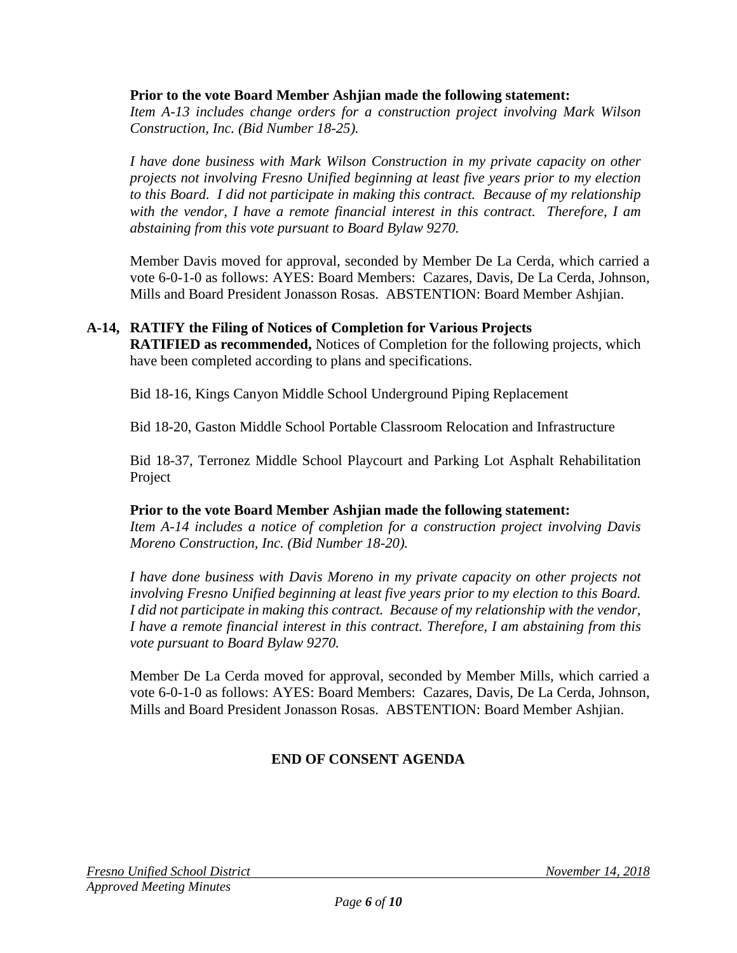#### **Prior to the vote Board Member Ashjian made the following statement:**

*Item A-13 includes change orders for a construction project involving Mark Wilson Construction, Inc. (Bid Number 18-25).*

*I have done business with Mark Wilson Construction in my private capacity on other projects not involving Fresno Unified beginning at least five years prior to my election to this Board. I did not participate in making this contract. Because of my relationship with the vendor, I have a remote financial interest in this contract. Therefore, I am abstaining from this vote pursuant to Board Bylaw 9270.*

Member Davis moved for approval, seconded by Member De La Cerda, which carried a vote 6-0-1-0 as follows: AYES: Board Members: Cazares, Davis, De La Cerda, Johnson, Mills and Board President Jonasson Rosas. ABSTENTION: Board Member Ashjian.

# **A-14, RATIFY the Filing of Notices of Completion for Various Projects**

**RATIFIED as recommended,** Notices of Completion for the following projects, which have been completed according to plans and specifications.

Bid 18-16, Kings Canyon Middle School Underground Piping Replacement

Bid 18-20, Gaston Middle School Portable Classroom Relocation and Infrastructure

Bid 18-37, Terronez Middle School Playcourt and Parking Lot Asphalt Rehabilitation Project

#### **Prior to the vote Board Member Ashjian made the following statement:**

*Item A-14 includes a notice of completion for a construction project involving Davis Moreno Construction, Inc. (Bid Number 18-20).*

*I have done business with Davis Moreno in my private capacity on other projects not involving Fresno Unified beginning at least five years prior to my election to this Board. I did not participate in making this contract. Because of my relationship with the vendor, I have a remote financial interest in this contract. Therefore, I am abstaining from this vote pursuant to Board Bylaw 9270.*

Member De La Cerda moved for approval, seconded by Member Mills, which carried a vote 6-0-1-0 as follows: AYES: Board Members: Cazares, Davis, De La Cerda, Johnson, Mills and Board President Jonasson Rosas. ABSTENTION: Board Member Ashjian.

### **END OF CONSENT AGENDA**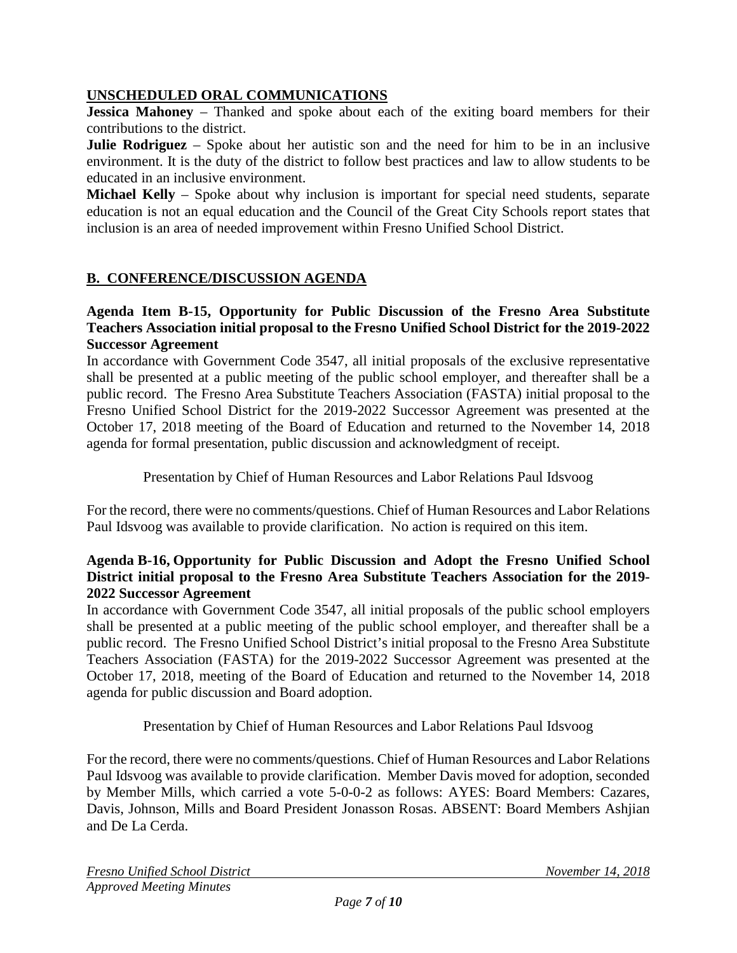# **UNSCHEDULED ORAL COMMUNICATIONS**

**Jessica Mahoney** – Thanked and spoke about each of the exiting board members for their contributions to the district.

**Julie Rodriguez** – Spoke about her autistic son and the need for him to be in an inclusive environment. It is the duty of the district to follow best practices and law to allow students to be educated in an inclusive environment.

**Michael Kelly** – Spoke about why inclusion is important for special need students, separate education is not an equal education and the Council of the Great City Schools report states that inclusion is an area of needed improvement within Fresno Unified School District.

# **B. CONFERENCE/DISCUSSION AGENDA**

#### **Agenda Item B-15, Opportunity for Public Discussion of the Fresno Area Substitute Teachers Association initial proposal to the Fresno Unified School District for the 2019-2022 Successor Agreement**

In accordance with Government Code 3547, all initial proposals of the exclusive representative shall be presented at a public meeting of the public school employer, and thereafter shall be a public record. The Fresno Area Substitute Teachers Association (FASTA) initial proposal to the Fresno Unified School District for the 2019-2022 Successor Agreement was presented at the October 17, 2018 meeting of the Board of Education and returned to the November 14, 2018 agenda for formal presentation, public discussion and acknowledgment of receipt.

Presentation by Chief of Human Resources and Labor Relations Paul Idsvoog

For the record, there were no comments/questions. Chief of Human Resources and Labor Relations Paul Idsvoog was available to provide clarification. No action is required on this item.

### **Agenda B-16, Opportunity for Public Discussion and Adopt the Fresno Unified School District initial proposal to the Fresno Area Substitute Teachers Association for the 2019- 2022 Successor Agreement**

In accordance with Government Code 3547, all initial proposals of the public school employers shall be presented at a public meeting of the public school employer, and thereafter shall be a public record. The Fresno Unified School District's initial proposal to the Fresno Area Substitute Teachers Association (FASTA) for the 2019-2022 Successor Agreement was presented at the October 17, 2018, meeting of the Board of Education and returned to the November 14, 2018 agenda for public discussion and Board adoption.

Presentation by Chief of Human Resources and Labor Relations Paul Idsvoog

For the record, there were no comments/questions. Chief of Human Resources and Labor Relations Paul Idsvoog was available to provide clarification. Member Davis moved for adoption, seconded by Member Mills, which carried a vote 5-0-0-2 as follows: AYES: Board Members: Cazares, Davis, Johnson, Mills and Board President Jonasson Rosas. ABSENT: Board Members Ashjian and De La Cerda.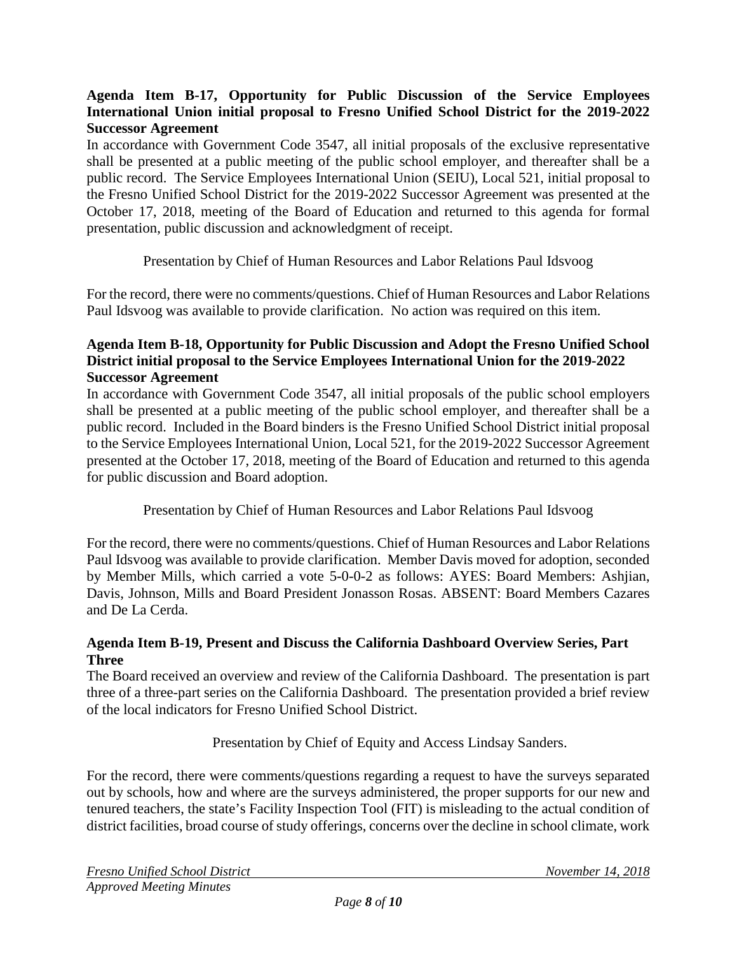# **Agenda Item B-17, Opportunity for Public Discussion of the Service Employees International Union initial proposal to Fresno Unified School District for the 2019-2022 Successor Agreement**

In accordance with Government Code 3547, all initial proposals of the exclusive representative shall be presented at a public meeting of the public school employer, and thereafter shall be a public record. The Service Employees International Union (SEIU), Local 521, initial proposal to the Fresno Unified School District for the 2019-2022 Successor Agreement was presented at the October 17, 2018, meeting of the Board of Education and returned to this agenda for formal presentation, public discussion and acknowledgment of receipt.

Presentation by Chief of Human Resources and Labor Relations Paul Idsvoog

For the record, there were no comments/questions. Chief of Human Resources and Labor Relations Paul Idsvoog was available to provide clarification. No action was required on this item.

# **Agenda Item B-18, Opportunity for Public Discussion and Adopt the Fresno Unified School District initial proposal to the Service Employees International Union for the 2019-2022 Successor Agreement**

In accordance with Government Code 3547, all initial proposals of the public school employers shall be presented at a public meeting of the public school employer, and thereafter shall be a public record. Included in the Board binders is the Fresno Unified School District initial proposal to the Service Employees International Union, Local 521, for the 2019-2022 Successor Agreement presented at the October 17, 2018, meeting of the Board of Education and returned to this agenda for public discussion and Board adoption.

Presentation by Chief of Human Resources and Labor Relations Paul Idsvoog

For the record, there were no comments/questions. Chief of Human Resources and Labor Relations Paul Idsvoog was available to provide clarification. Member Davis moved for adoption, seconded by Member Mills, which carried a vote 5-0-0-2 as follows: AYES: Board Members: Ashjian, Davis, Johnson, Mills and Board President Jonasson Rosas. ABSENT: Board Members Cazares and De La Cerda.

### **Agenda Item B-19, Present and Discuss the California Dashboard Overview Series, Part Three**

The Board received an overview and review of the California Dashboard. The presentation is part three of a three-part series on the California Dashboard. The presentation provided a brief review of the local indicators for Fresno Unified School District.

Presentation by Chief of Equity and Access Lindsay Sanders.

For the record, there were comments/questions regarding a request to have the surveys separated out by schools, how and where are the surveys administered, the proper supports for our new and tenured teachers, the state's Facility Inspection Tool (FIT) is misleading to the actual condition of district facilities, broad course of study offerings, concerns over the decline in school climate, work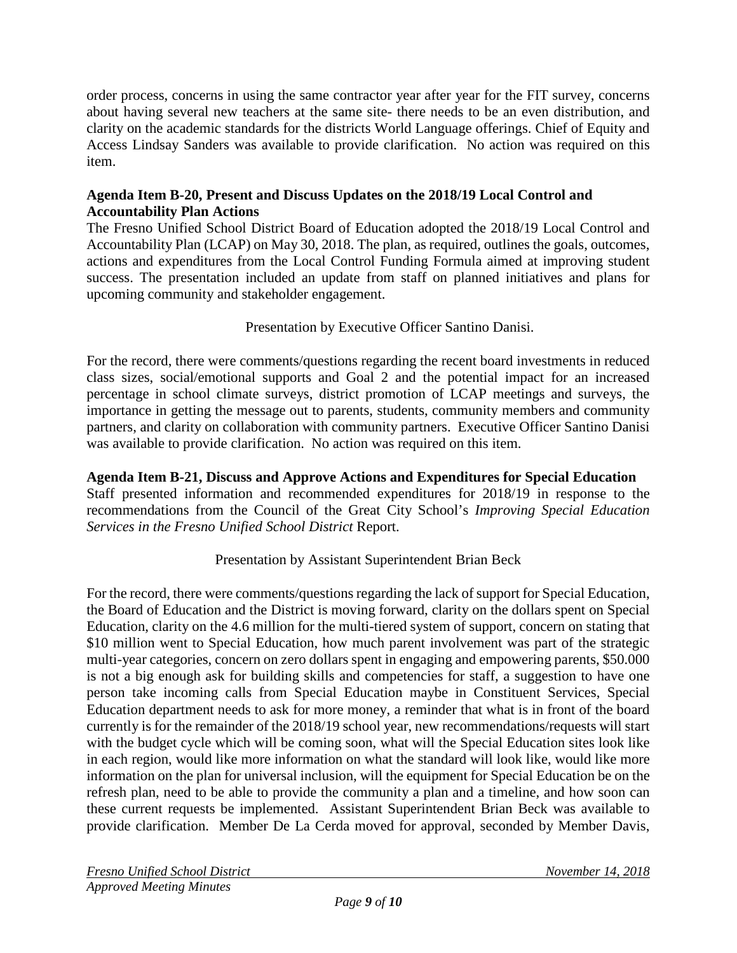order process, concerns in using the same contractor year after year for the FIT survey, concerns about having several new teachers at the same site- there needs to be an even distribution, and clarity on the academic standards for the districts World Language offerings. Chief of Equity and Access Lindsay Sanders was available to provide clarification. No action was required on this item.

# **Agenda Item B-20, Present and Discuss Updates on the 2018/19 Local Control and Accountability Plan Actions**

The Fresno Unified School District Board of Education adopted the 2018/19 Local Control and Accountability Plan (LCAP) on May 30, 2018. The plan, as required, outlines the goals, outcomes, actions and expenditures from the Local Control Funding Formula aimed at improving student success. The presentation included an update from staff on planned initiatives and plans for upcoming community and stakeholder engagement.

Presentation by Executive Officer Santino Danisi.

For the record, there were comments/questions regarding the recent board investments in reduced class sizes, social/emotional supports and Goal 2 and the potential impact for an increased percentage in school climate surveys, district promotion of LCAP meetings and surveys, the importance in getting the message out to parents, students, community members and community partners, and clarity on collaboration with community partners. Executive Officer Santino Danisi was available to provide clarification. No action was required on this item.

# **Agenda Item B-21, Discuss and Approve Actions and Expenditures for Special Education**

Staff presented information and recommended expenditures for 2018/19 in response to the recommendations from the Council of the Great City School's *Improving Special Education Services in the Fresno Unified School District* Report.

# Presentation by Assistant Superintendent Brian Beck

For the record, there were comments/questions regarding the lack of support for Special Education, the Board of Education and the District is moving forward, clarity on the dollars spent on Special Education, clarity on the 4.6 million for the multi-tiered system of support, concern on stating that \$10 million went to Special Education, how much parent involvement was part of the strategic multi-year categories, concern on zero dollars spent in engaging and empowering parents, \$50.000 is not a big enough ask for building skills and competencies for staff, a suggestion to have one person take incoming calls from Special Education maybe in Constituent Services, Special Education department needs to ask for more money, a reminder that what is in front of the board currently is for the remainder of the 2018/19 school year, new recommendations/requests will start with the budget cycle which will be coming soon, what will the Special Education sites look like in each region, would like more information on what the standard will look like, would like more information on the plan for universal inclusion, will the equipment for Special Education be on the refresh plan, need to be able to provide the community a plan and a timeline, and how soon can these current requests be implemented. Assistant Superintendent Brian Beck was available to provide clarification. Member De La Cerda moved for approval, seconded by Member Davis,